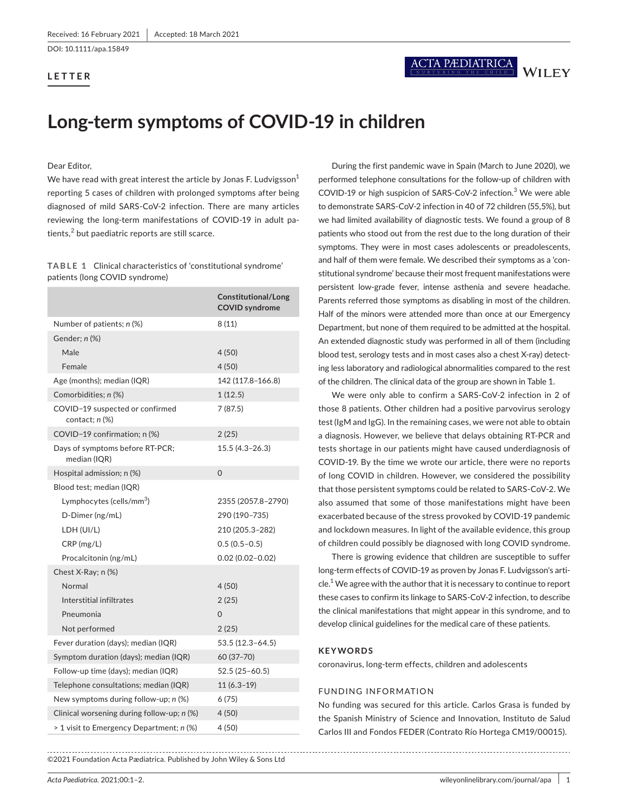DOI: 10.1111/apa.15849

## **LETTER**

# **Long-term symptoms of COVID-19 in children**

#### Dear Editor,

We have read with great interest the article by Jonas F. Ludvigsson $^1$ reporting 5 cases of children with prolonged symptoms after being diagnosed of mild SARS-CoV-2 infection. There are many articles reviewing the long-term manifestations of COVID-19 in adult pa $t$ ients, $^2$  but paediatric reports are still scarce.

**TABLE 1** Clinical characteristics of 'constitutional syndrome' patients (long COVID syndrome)

|                                                     | Constitutional/Long<br><b>COVID syndrome</b> |
|-----------------------------------------------------|----------------------------------------------|
| Number of patients; n (%)                           | 8(11)                                        |
| Gender; n (%)                                       |                                              |
| Male                                                | 4(50)                                        |
| Female                                              | 4(50)                                        |
| Age (months); median (IQR)                          | 142 (117.8–166.8)                            |
| Comorbidities: n (%)                                | 1(12.5)                                      |
| COVID-19 suspected or confirmed<br>contact; $n$ $%$ | 7 (87.5)                                     |
| COVID-19 confirmation; n (%)                        | 2(25)                                        |
| Days of symptoms before RT-PCR;<br>median (IQR)     | 15.5 (4.3-26.3)                              |
| Hospital admission; n (%)                           | $\Omega$                                     |
| Blood test; median (IQR)                            |                                              |
| Lymphocytes (cells/mm <sup>3</sup> )                | 2355 (2057.8-2790)                           |
| D-Dimer (ng/mL)                                     | 290 (190-735)                                |
| LDH (UI/L)                                          | 210 (205.3-282)                              |
| CRP(mg/L)                                           | $0.5(0.5-0.5)$                               |
| Procalcitonin (ng/mL)                               | $0.02(0.02 - 0.02)$                          |
| Chest X-Ray; n (%)                                  |                                              |
| Normal                                              | 4(50)                                        |
| Interstitial infiltrates                            | 2(25)                                        |
| Pneumonia                                           | $\Omega$                                     |
| Not performed                                       | 2(25)                                        |
| Fever duration (days); median (IQR)                 | 53.5 (12.3-64.5)                             |
| Symptom duration (days); median (IQR)               | 60 (37-70)                                   |
| Follow-up time (days); median (IQR)                 | $52.5(25-60.5)$                              |
| Telephone consultations; median (IQR)               | $11(6.3-19)$                                 |
| New symptoms during follow-up; n (%)                | 6 (75)                                       |
| Clinical worsening during follow-up; n (%)          | 4(50)                                        |
| > 1 visit to Emergency Department; n (%)            | 4 (50)                                       |

©2021 Foundation Acta Pædiatrica. Published by John Wiley & Sons Ltd

During the first pandemic wave in Spain (March to June 2020), we performed telephone consultations for the follow-up of children with COVID-19 or high suspicion of SARS-CoV-2 infection.<sup>3</sup> We were able to demonstrate SARS-CoV-2 infection in 40 of 72 children (55,5%), but we had limited availability of diagnostic tests. We found a group of 8 patients who stood out from the rest due to the long duration of their symptoms. They were in most cases adolescents or preadolescents, and half of them were female. We described their symptoms as a 'constitutional syndrome' because their most frequent manifestations were persistent low-grade fever, intense asthenia and severe headache. Parents referred those symptoms as disabling in most of the children. Half of the minors were attended more than once at our Emergency Department, but none of them required to be admitted at the hospital. An extended diagnostic study was performed in all of them (including blood test, serology tests and in most cases also a chest X-ray) detecting less laboratory and radiological abnormalities compared to the rest of the children. The clinical data of the group are shown in Table 1.

We were only able to confirm a SARS-CoV-2 infection in 2 of those 8 patients. Other children had a positive parvovirus serology test (IgM and IgG). In the remaining cases, we were not able to obtain a diagnosis. However, we believe that delays obtaining RT-PCR and tests shortage in our patients might have caused underdiagnosis of COVID-19. By the time we wrote our article, there were no reports of long COVID in children. However, we considered the possibility that those persistent symptoms could be related to SARS-CoV-2. We also assumed that some of those manifestations might have been exacerbated because of the stress provoked by COVID-19 pandemic and lockdown measures. In light of the available evidence, this group of children could possibly be diagnosed with long COVID syndrome.

There is growing evidence that children are susceptible to suffer long-term effects of COVID-19 as proven by Jonas F. Ludvigsson's article.<sup>1</sup> We agree with the author that it is necessary to continue to report these cases to confirm its linkage to SARS-CoV-2 infection, to describe the clinical manifestations that might appear in this syndrome, and to develop clinical guidelines for the medical care of these patients.

#### **KEYWORDS**

coronavirus, long-term effects, children and adolescents

#### FUNDING INFORMATION

No funding was secured for this article. Carlos Grasa is funded by the Spanish Ministry of Science and Innovation, Instituto de Salud Carlos III and Fondos FEDER (Contrato Río Hortega CM19/00015).